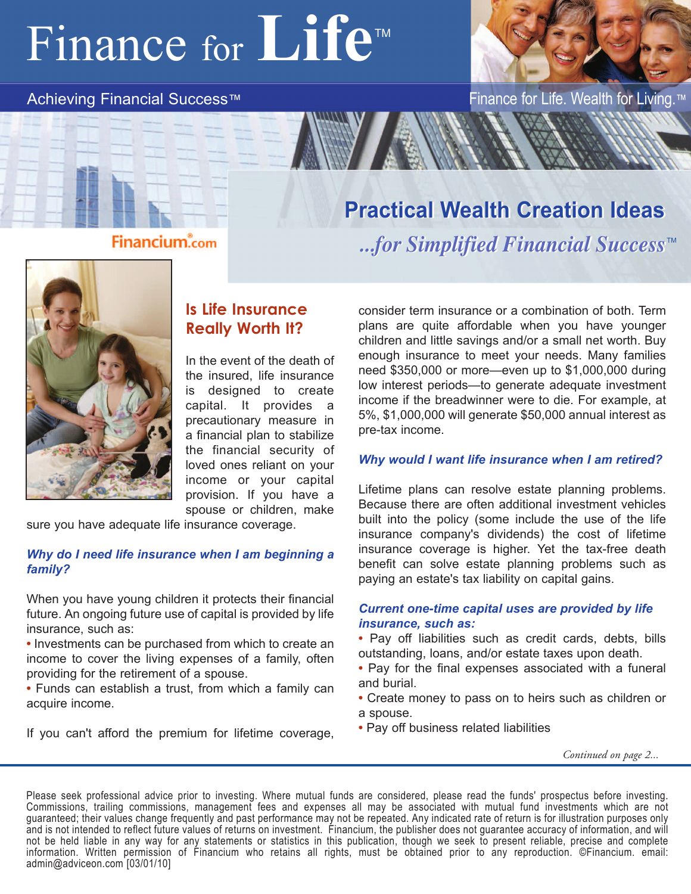# Finance for **Life™**



Achieving Financial Success™ Finance for Life. Wealth for Living.™

# **Practical Wealth Creation Ideas Practical Wealth Creation Ideas**

*...for Simplified Financial Success ...for Simplified Financial Success* TM



### **Is Life Insurance Really Worth It?**

In the event of the death of the insured, life insurance is designed to create capital. It provides a precautionary measure in a financial plan to stabilize the financial security of loved ones reliant on your income or your capital provision. If you have a spouse or children, make

sure you have adequate life insurance coverage.

#### *Why do I need life insurance when I am beginning a family?*

When you have young children it protects their financial future. An ongoing future use of capital is provided by life insurance, such as:

**•** Investments can be purchased from which to create an income to cover the living expenses of a family, often providing for the retirement of a spouse.

**•** Funds can establish a trust, from which a family can acquire income.

If you can't afford the premium for lifetime coverage,

consider term insurance or a combination of both. Term plans are quite affordable when you have younger children and little savings and/or a small net worth. Buy enough insurance to meet your needs. Many families need \$350,000 or more—even up to \$1,000,000 during low interest periods—to generate adequate investment income if the breadwinner were to die. For example, at 5%, \$1,000,000 will generate \$50,000 annual interest as pre-tax income.

#### *Why would I want life insurance when I am retired?*

Lifetime plans can resolve estate planning problems. Because there are often additional investment vehicles built into the policy (some include the use of the life insurance company's dividends) the cost of lifetime insurance coverage is higher. Yet the tax-free death benefit can solve estate planning problems such as paying an estate's tax liability on capital gains.

#### *Current one-time capital uses are provided by life insurance, such as:*

**•** Pay off liabilities such as credit cards, debts, bills outstanding, loans, and/or estate taxes upon death.

- **•** Pay for the final expenses associated with a funeral and burial.
- **•** Create money to pass on to heirs such as children or a spouse.
- **•** Pay off business related liabilities

*Continued on page 2...*

Please seek professional advice prior to investing. Where mutual funds are considered, please read the funds' prospectus before investing. Commissions, trailing commissions, management fees and expenses all may be associated with mutual fund investments which are not guaranteed; their values change frequently and past performance may not be repeated. Any indicated rate of return is for illustration purposes only and is not intended to reflect future values of returns on investment. Financium, the publisher does not guarantee accuracy of information, and will not be held liable in any way for any statements or statistics in this publication, though we seek to present reliable, precise and complete information. Written permission of Financium who retains all rights, must be obtained prior to any reproduction. ©Financium. email: admin@adviceon.com [03/01/10]